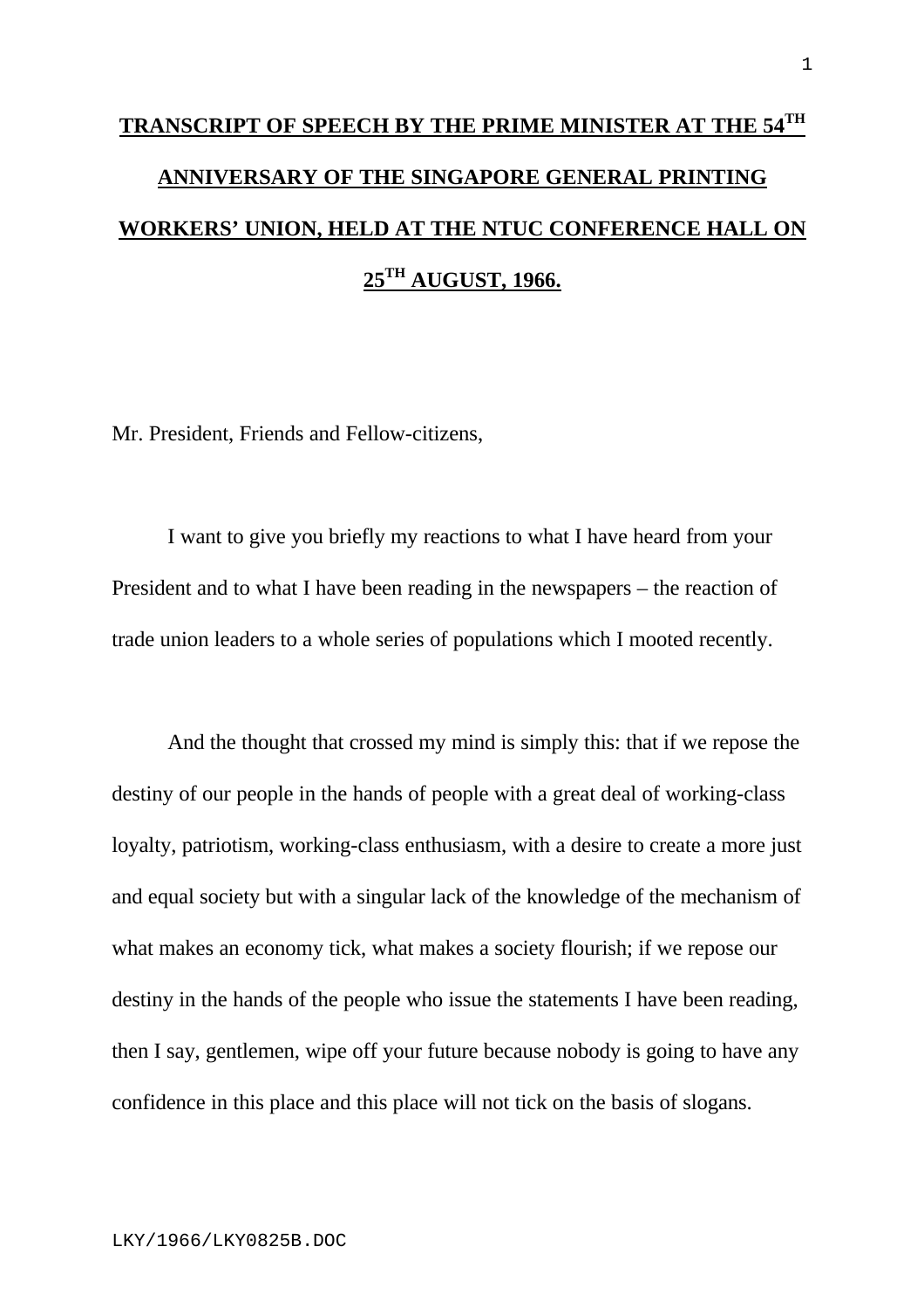## **TRANSCRIPT OF SPEECH BY THE PRIME MINISTER AT THE 54TH ANNIVERSARY OF THE SINGAPORE GENERAL PRINTING WORKERS' UNION, HELD AT THE NTUC CONFERENCE HALL ON 25TH AUGUST, 1966.**

Mr. President, Friends and Fellow-citizens,

I want to give you briefly my reactions to what I have heard from your President and to what I have been reading in the newspapers – the reaction of trade union leaders to a whole series of populations which I mooted recently.

And the thought that crossed my mind is simply this: that if we repose the destiny of our people in the hands of people with a great deal of working-class loyalty, patriotism, working-class enthusiasm, with a desire to create a more just and equal society but with a singular lack of the knowledge of the mechanism of what makes an economy tick, what makes a society flourish; if we repose our destiny in the hands of the people who issue the statements I have been reading, then I say, gentlemen, wipe off your future because nobody is going to have any confidence in this place and this place will not tick on the basis of slogans.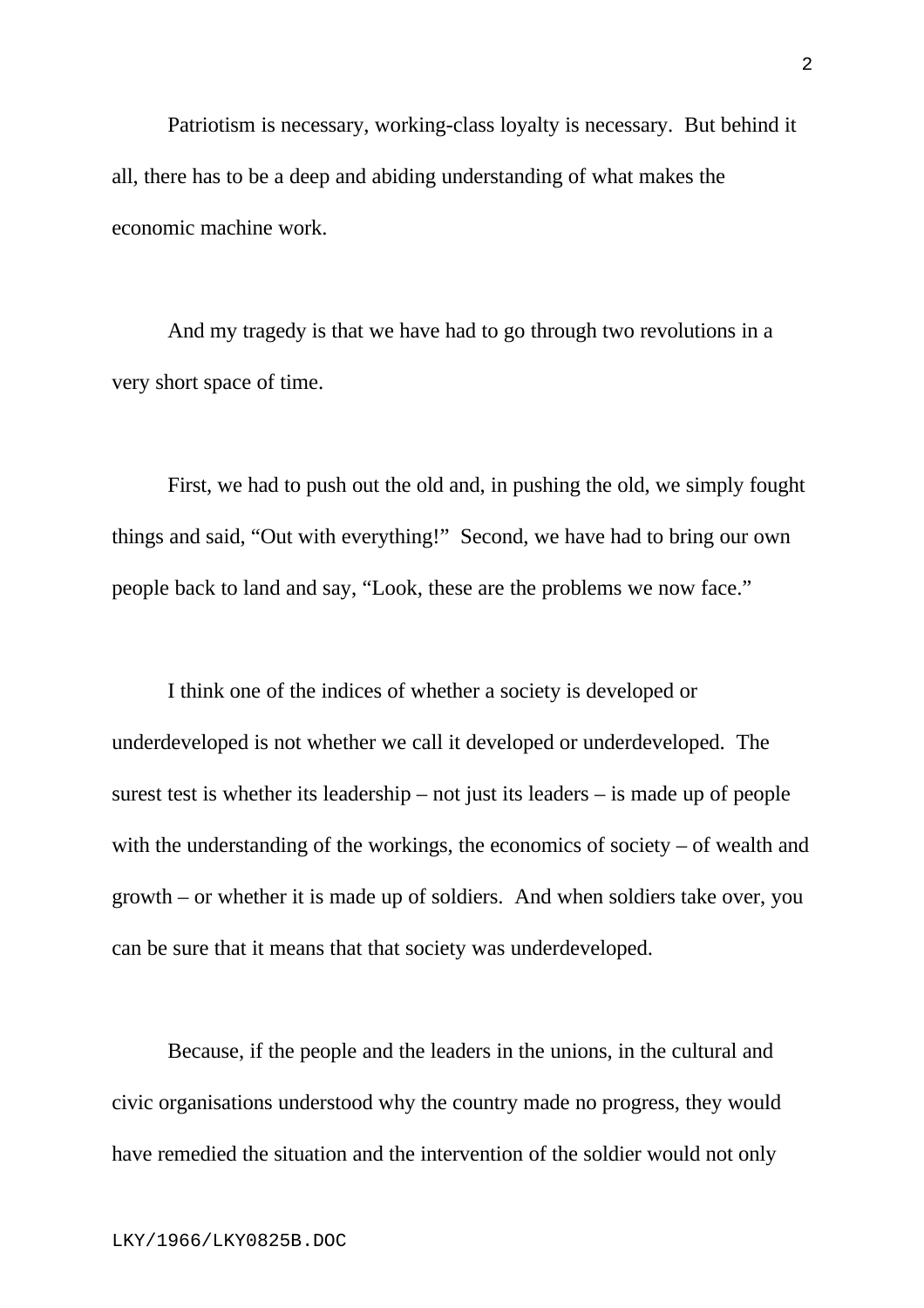Patriotism is necessary, working-class loyalty is necessary. But behind it all, there has to be a deep and abiding understanding of what makes the economic machine work.

And my tragedy is that we have had to go through two revolutions in a very short space of time.

First, we had to push out the old and, in pushing the old, we simply fought things and said, "Out with everything!" Second, we have had to bring our own people back to land and say, "Look, these are the problems we now face."

I think one of the indices of whether a society is developed or underdeveloped is not whether we call it developed or underdeveloped. The surest test is whether its leadership – not just its leaders – is made up of people with the understanding of the workings, the economics of society – of wealth and growth – or whether it is made up of soldiers. And when soldiers take over, you can be sure that it means that that society was underdeveloped.

Because, if the people and the leaders in the unions, in the cultural and civic organisations understood why the country made no progress, they would have remedied the situation and the intervention of the soldier would not only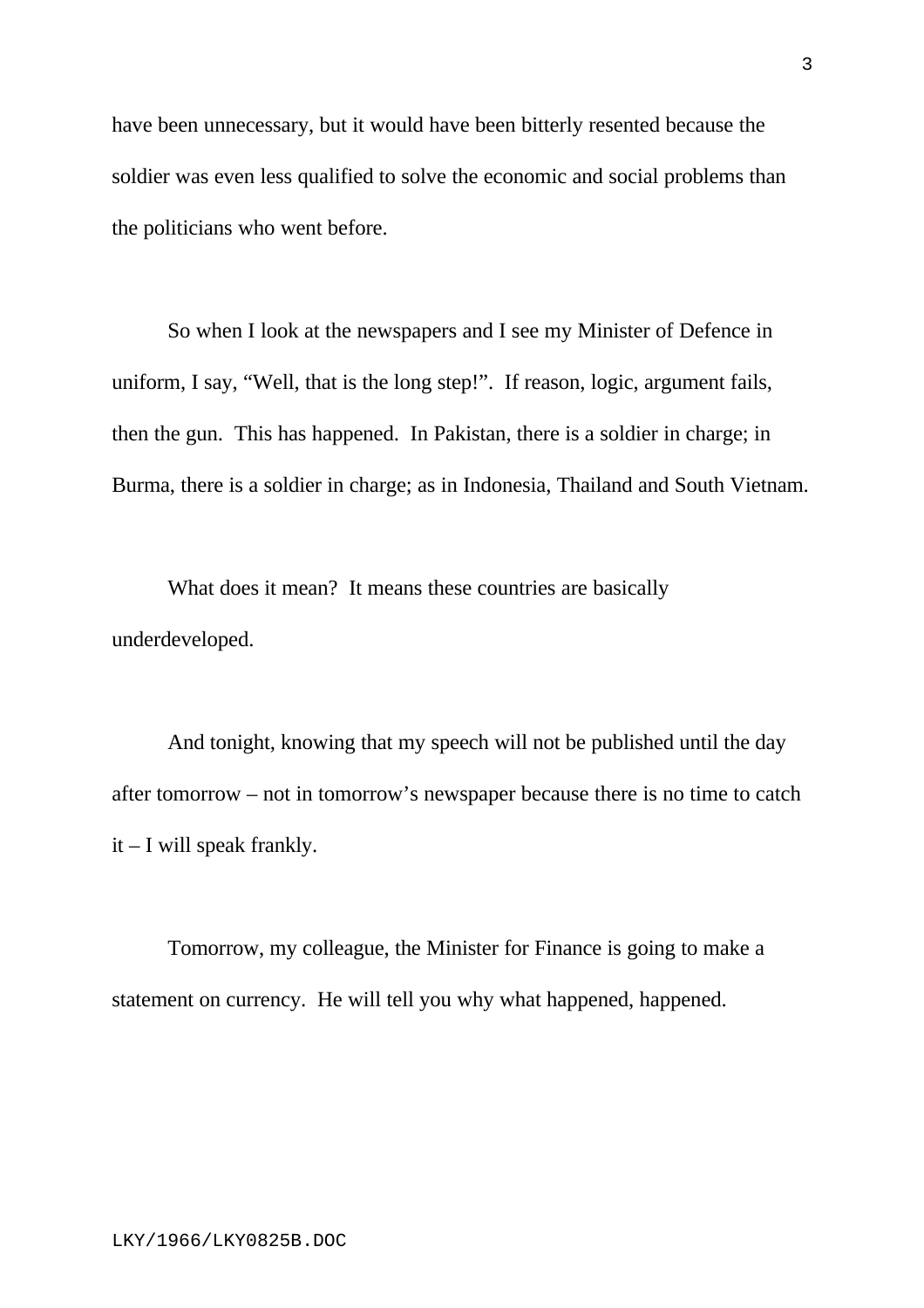have been unnecessary, but it would have been bitterly resented because the soldier was even less qualified to solve the economic and social problems than the politicians who went before.

So when I look at the newspapers and I see my Minister of Defence in uniform, I say, "Well, that is the long step!". If reason, logic, argument fails, then the gun. This has happened. In Pakistan, there is a soldier in charge; in Burma, there is a soldier in charge; as in Indonesia, Thailand and South Vietnam.

What does it mean? It means these countries are basically underdeveloped.

And tonight, knowing that my speech will not be published until the day after tomorrow – not in tomorrow's newspaper because there is no time to catch it – I will speak frankly.

Tomorrow, my colleague, the Minister for Finance is going to make a statement on currency. He will tell you why what happened, happened.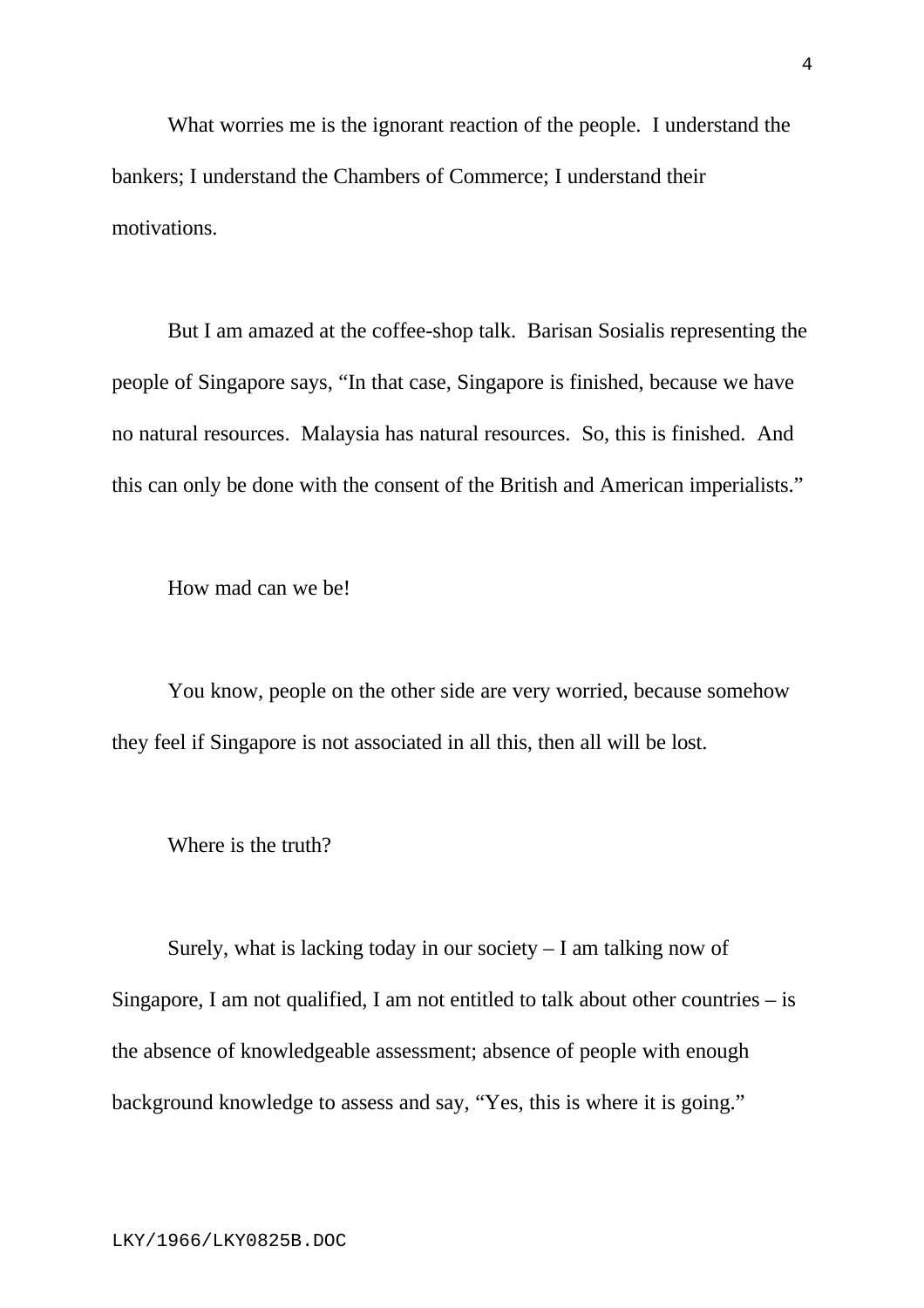What worries me is the ignorant reaction of the people. I understand the bankers; I understand the Chambers of Commerce; I understand their motivations.

But I am amazed at the coffee-shop talk. Barisan Sosialis representing the people of Singapore says, "In that case, Singapore is finished, because we have no natural resources. Malaysia has natural resources. So, this is finished. And this can only be done with the consent of the British and American imperialists."

How mad can we be!

You know, people on the other side are very worried, because somehow they feel if Singapore is not associated in all this, then all will be lost.

Where is the truth?

Surely, what is lacking today in our society  $-1$  am talking now of Singapore, I am not qualified, I am not entitled to talk about other countries  $-$  is the absence of knowledgeable assessment; absence of people with enough background knowledge to assess and say, "Yes, this is where it is going."

4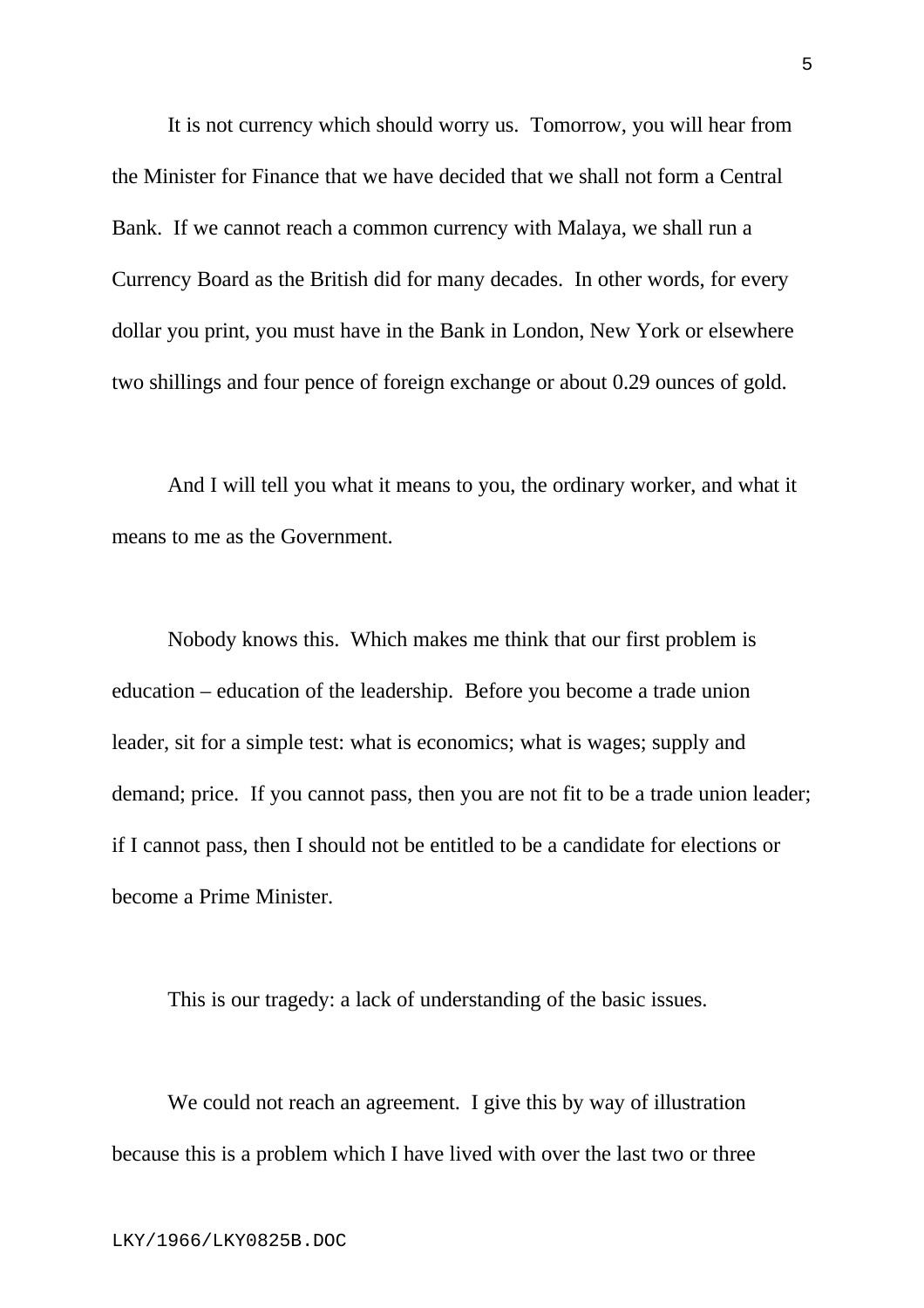It is not currency which should worry us. Tomorrow, you will hear from the Minister for Finance that we have decided that we shall not form a Central Bank. If we cannot reach a common currency with Malaya, we shall run a Currency Board as the British did for many decades. In other words, for every dollar you print, you must have in the Bank in London, New York or elsewhere two shillings and four pence of foreign exchange or about 0.29 ounces of gold.

And I will tell you what it means to you, the ordinary worker, and what it means to me as the Government.

Nobody knows this. Which makes me think that our first problem is education – education of the leadership. Before you become a trade union leader, sit for a simple test: what is economics; what is wages; supply and demand; price. If you cannot pass, then you are not fit to be a trade union leader; if I cannot pass, then I should not be entitled to be a candidate for elections or become a Prime Minister.

This is our tragedy: a lack of understanding of the basic issues.

We could not reach an agreement. I give this by way of illustration because this is a problem which I have lived with over the last two or three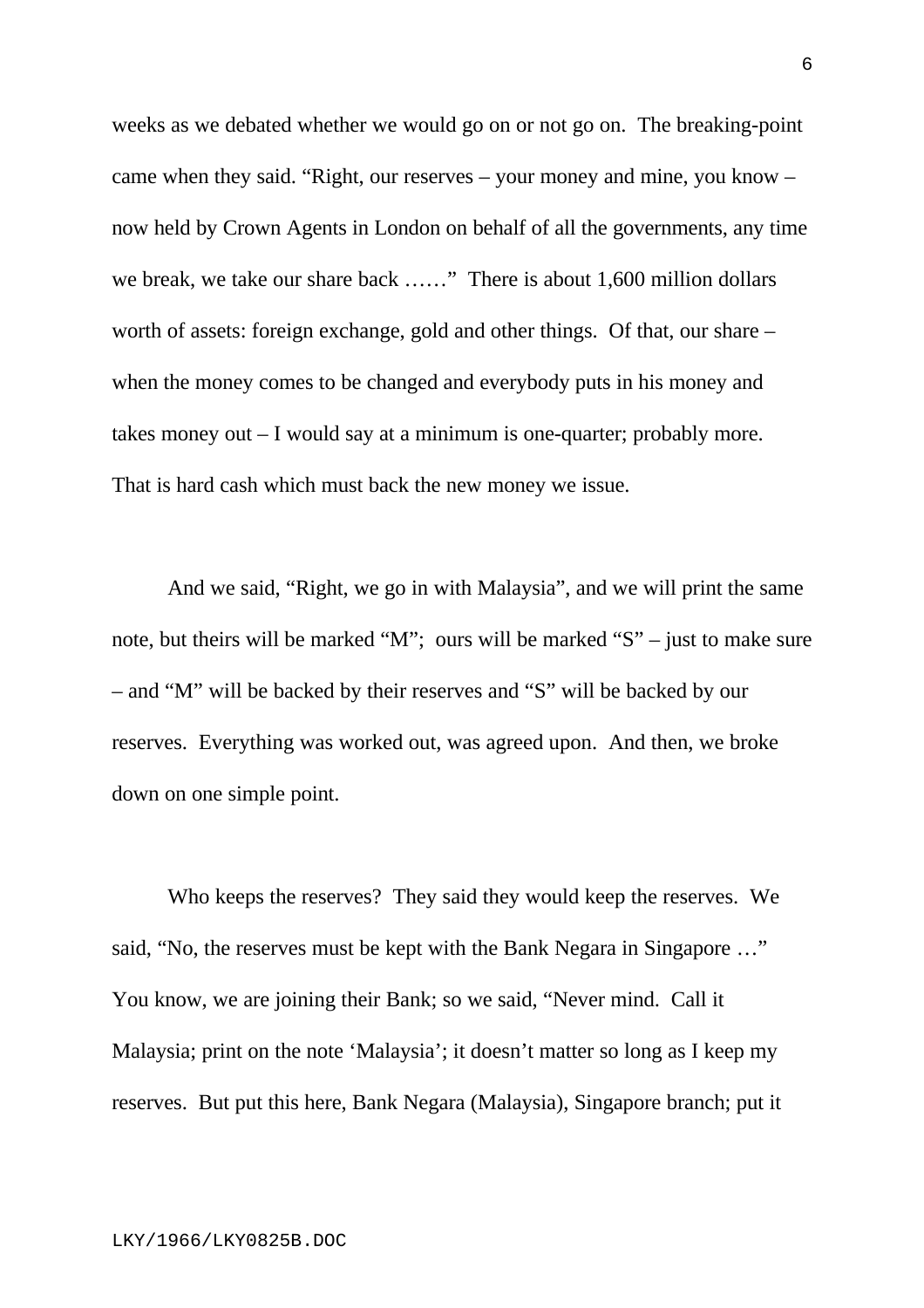weeks as we debated whether we would go on or not go on. The breaking-point came when they said. "Right, our reserves – your money and mine, you know – now held by Crown Agents in London on behalf of all the governments, any time we break, we take our share back ……" There is about 1,600 million dollars worth of assets: foreign exchange, gold and other things. Of that, our share – when the money comes to be changed and everybody puts in his money and takes money out – I would say at a minimum is one-quarter; probably more. That is hard cash which must back the new money we issue.

And we said, "Right, we go in with Malaysia", and we will print the same note, but theirs will be marked "M"; ours will be marked "S" – just to make sure – and "M" will be backed by their reserves and "S" will be backed by our reserves. Everything was worked out, was agreed upon. And then, we broke down on one simple point.

Who keeps the reserves? They said they would keep the reserves. We said, "No, the reserves must be kept with the Bank Negara in Singapore …" You know, we are joining their Bank; so we said, "Never mind. Call it Malaysia; print on the note 'Malaysia'; it doesn't matter so long as I keep my reserves. But put this here, Bank Negara (Malaysia), Singapore branch; put it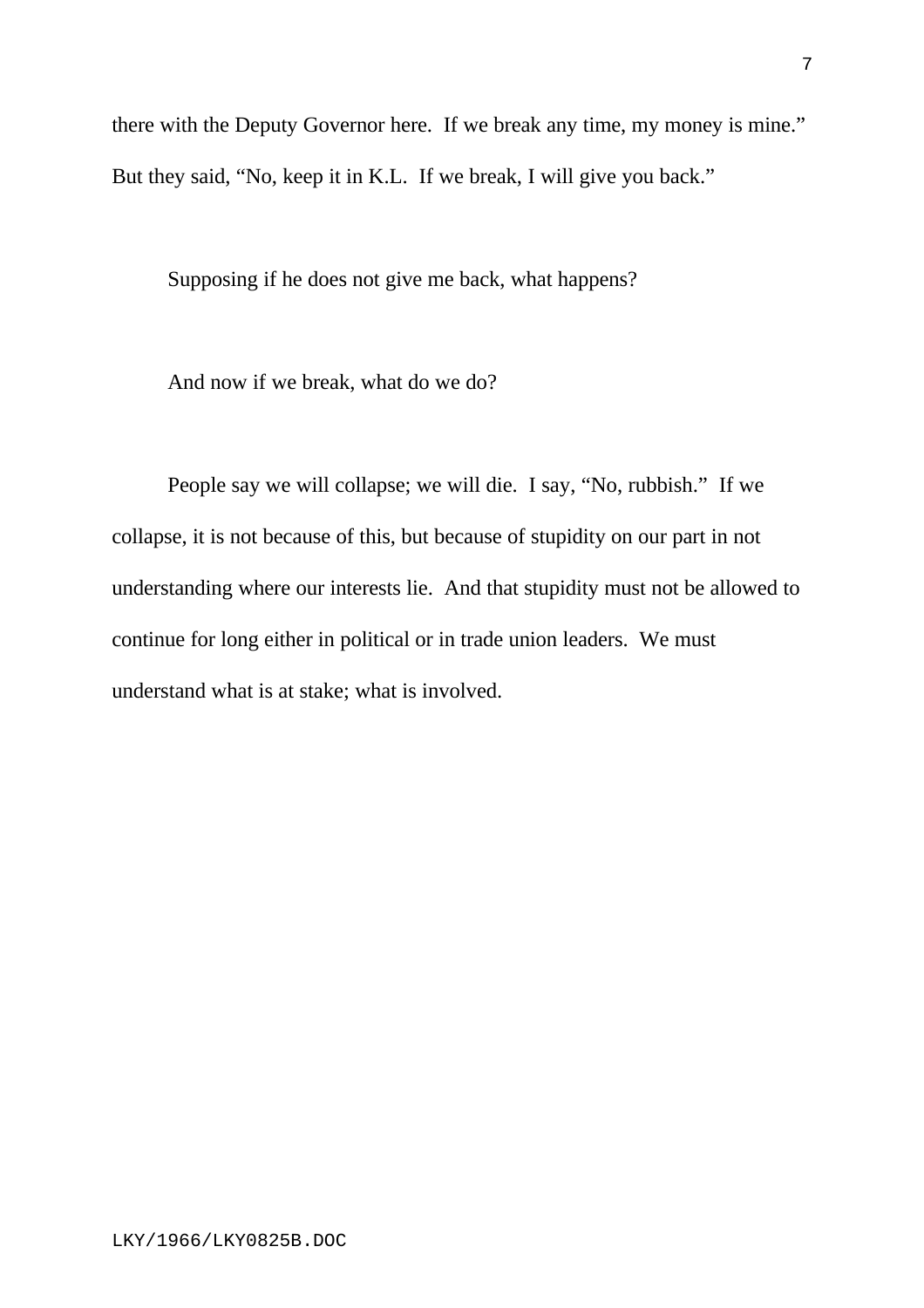there with the Deputy Governor here. If we break any time, my money is mine." But they said, "No, keep it in K.L. If we break, I will give you back."

Supposing if he does not give me back, what happens?

And now if we break, what do we do?

People say we will collapse; we will die. I say, "No, rubbish." If we collapse, it is not because of this, but because of stupidity on our part in not understanding where our interests lie. And that stupidity must not be allowed to continue for long either in political or in trade union leaders. We must understand what is at stake; what is involved.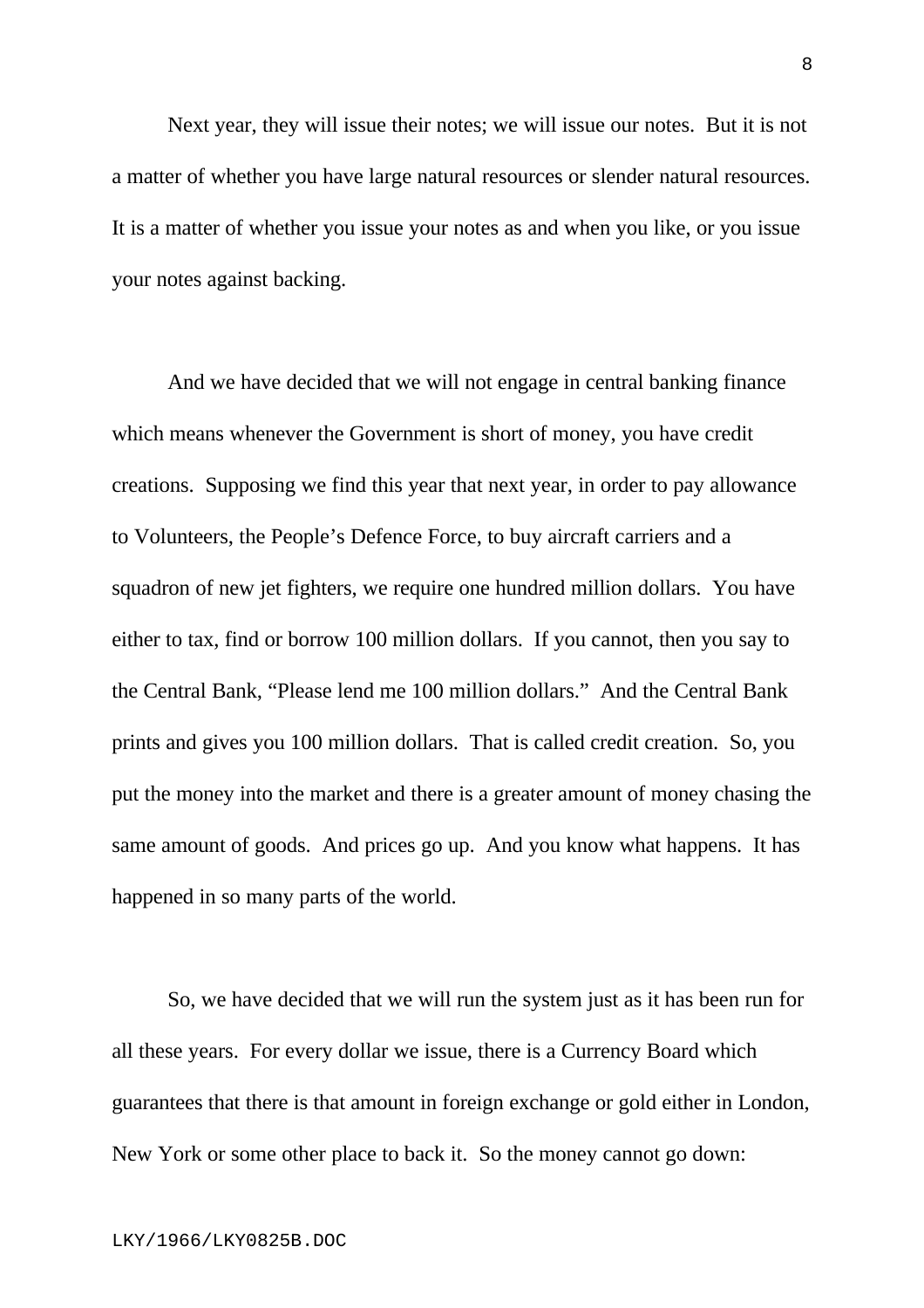Next year, they will issue their notes; we will issue our notes. But it is not a matter of whether you have large natural resources or slender natural resources. It is a matter of whether you issue your notes as and when you like, or you issue your notes against backing.

And we have decided that we will not engage in central banking finance which means whenever the Government is short of money, you have credit creations. Supposing we find this year that next year, in order to pay allowance to Volunteers, the People's Defence Force, to buy aircraft carriers and a squadron of new jet fighters, we require one hundred million dollars. You have either to tax, find or borrow 100 million dollars. If you cannot, then you say to the Central Bank, "Please lend me 100 million dollars." And the Central Bank prints and gives you 100 million dollars. That is called credit creation. So, you put the money into the market and there is a greater amount of money chasing the same amount of goods. And prices go up. And you know what happens. It has happened in so many parts of the world.

So, we have decided that we will run the system just as it has been run for all these years. For every dollar we issue, there is a Currency Board which guarantees that there is that amount in foreign exchange or gold either in London, New York or some other place to back it. So the money cannot go down: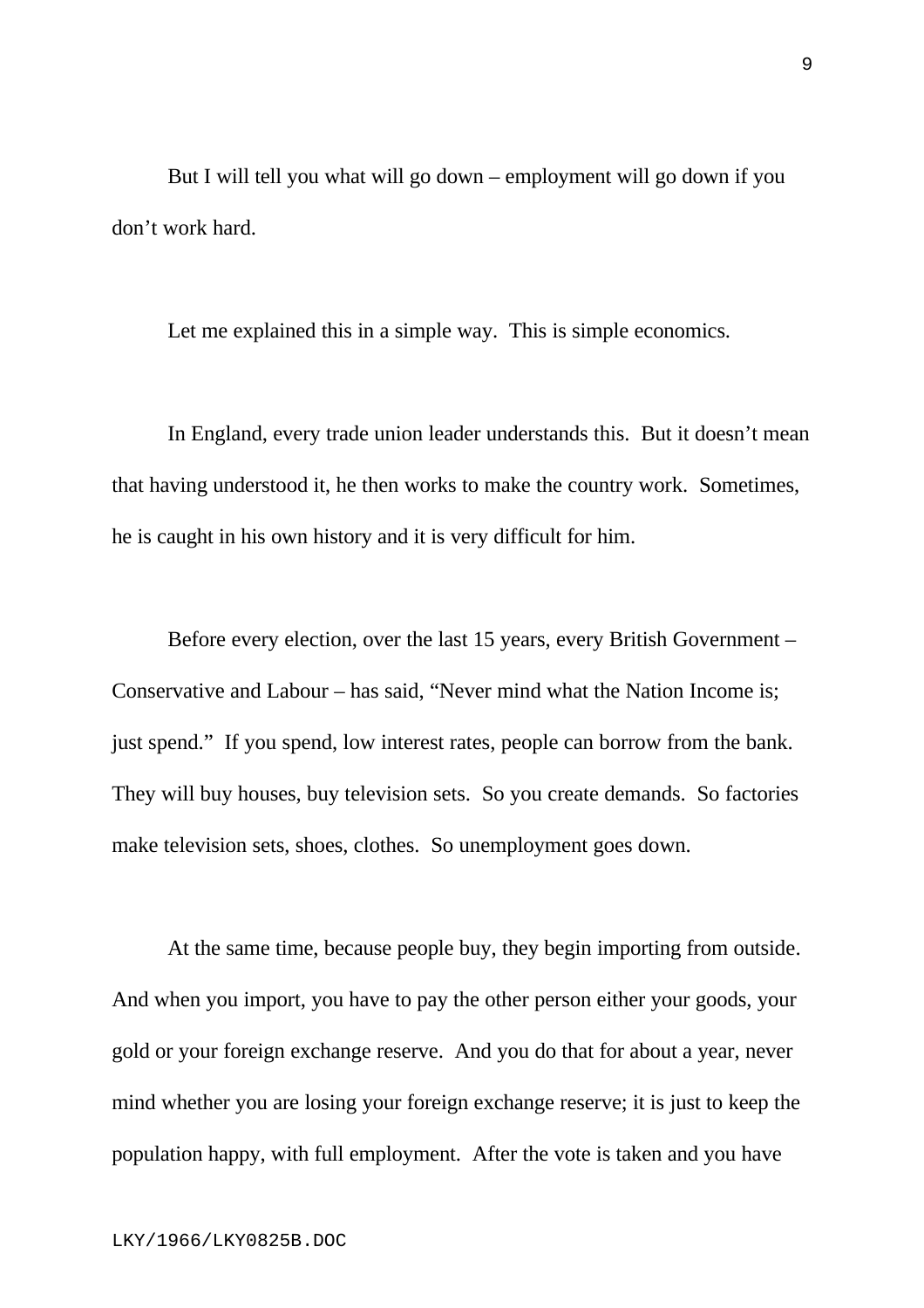But I will tell you what will go down – employment will go down if you don't work hard.

Let me explained this in a simple way. This is simple economics.

In England, every trade union leader understands this. But it doesn't mean that having understood it, he then works to make the country work. Sometimes, he is caught in his own history and it is very difficult for him.

Before every election, over the last 15 years, every British Government – Conservative and Labour – has said, "Never mind what the Nation Income is; just spend." If you spend, low interest rates, people can borrow from the bank. They will buy houses, buy television sets. So you create demands. So factories make television sets, shoes, clothes. So unemployment goes down.

At the same time, because people buy, they begin importing from outside. And when you import, you have to pay the other person either your goods, your gold or your foreign exchange reserve. And you do that for about a year, never mind whether you are losing your foreign exchange reserve; it is just to keep the population happy, with full employment. After the vote is taken and you have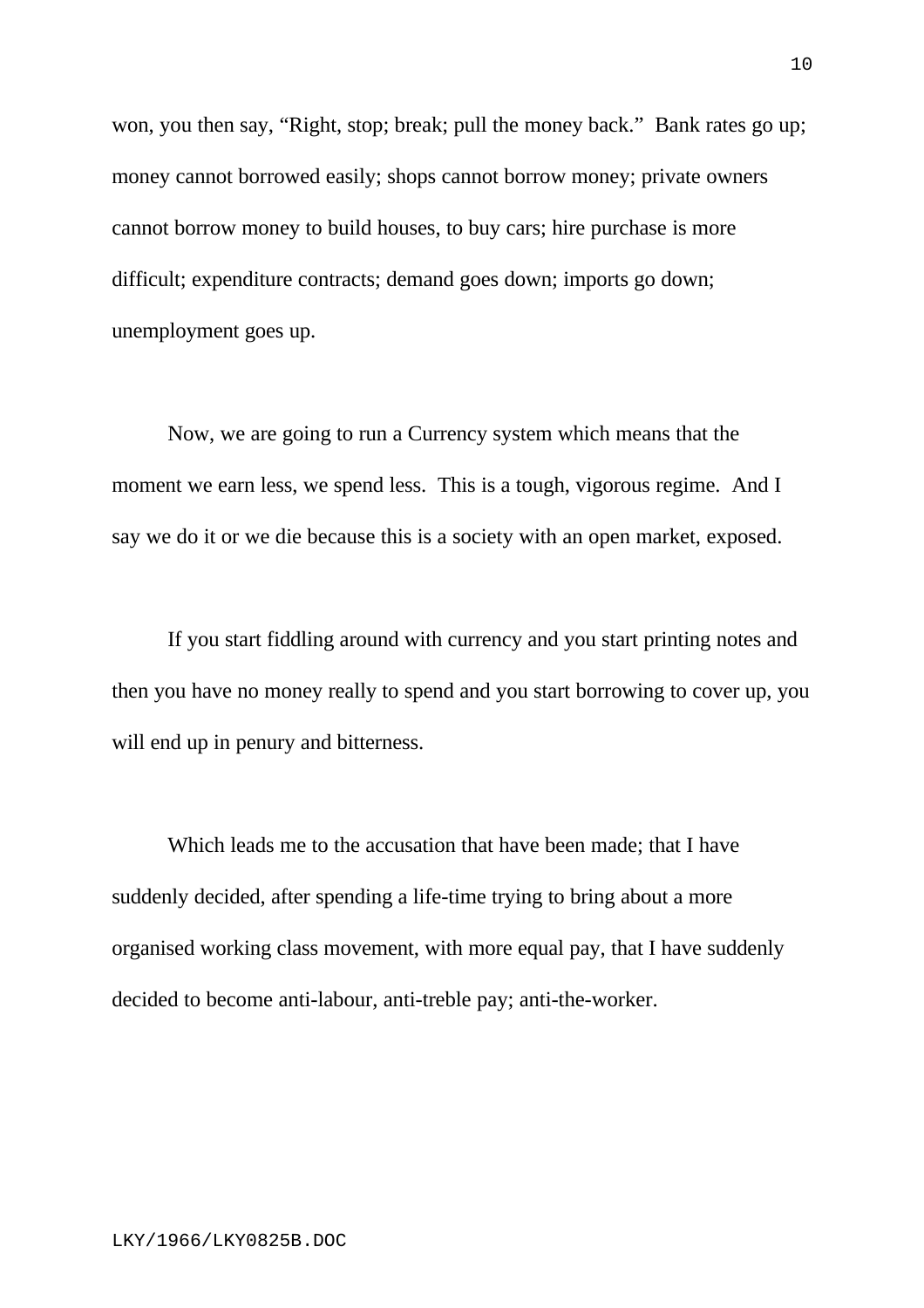won, you then say, "Right, stop; break; pull the money back." Bank rates go up; money cannot borrowed easily; shops cannot borrow money; private owners cannot borrow money to build houses, to buy cars; hire purchase is more difficult; expenditure contracts; demand goes down; imports go down; unemployment goes up.

Now, we are going to run a Currency system which means that the moment we earn less, we spend less. This is a tough, vigorous regime. And I say we do it or we die because this is a society with an open market, exposed.

If you start fiddling around with currency and you start printing notes and then you have no money really to spend and you start borrowing to cover up, you will end up in penury and bitterness.

Which leads me to the accusation that have been made; that I have suddenly decided, after spending a life-time trying to bring about a more organised working class movement, with more equal pay, that I have suddenly decided to become anti-labour, anti-treble pay; anti-the-worker.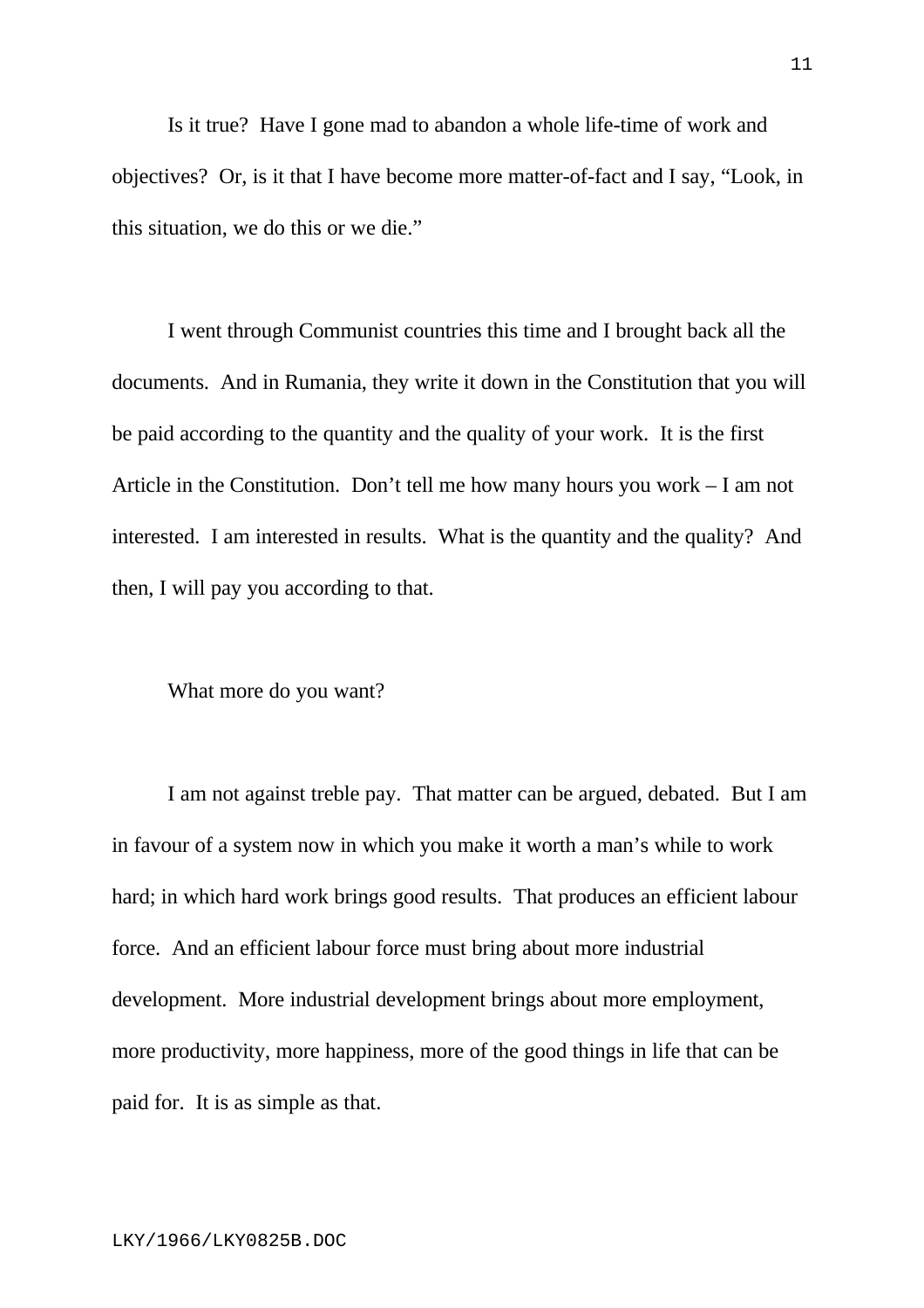Is it true? Have I gone mad to abandon a whole life-time of work and objectives? Or, is it that I have become more matter-of-fact and I say, "Look, in this situation, we do this or we die."

I went through Communist countries this time and I brought back all the documents. And in Rumania, they write it down in the Constitution that you will be paid according to the quantity and the quality of your work. It is the first Article in the Constitution. Don't tell me how many hours you work – I am not interested. I am interested in results. What is the quantity and the quality? And then, I will pay you according to that.

What more do you want?

I am not against treble pay. That matter can be argued, debated. But I am in favour of a system now in which you make it worth a man's while to work hard; in which hard work brings good results. That produces an efficient labour force. And an efficient labour force must bring about more industrial development. More industrial development brings about more employment, more productivity, more happiness, more of the good things in life that can be paid for. It is as simple as that.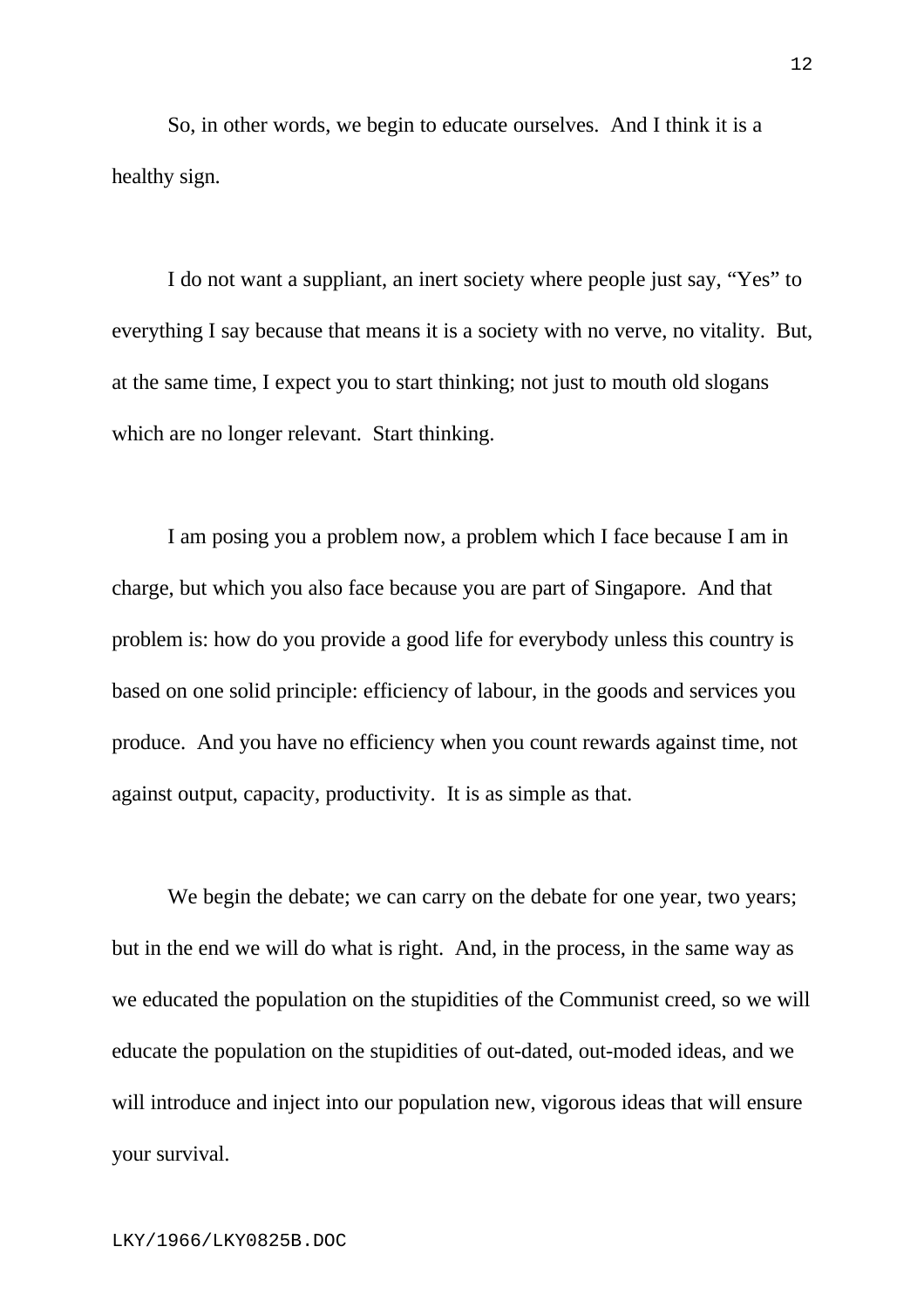So, in other words, we begin to educate ourselves. And I think it is a healthy sign.

I do not want a suppliant, an inert society where people just say, "Yes" to everything I say because that means it is a society with no verve, no vitality. But, at the same time, I expect you to start thinking; not just to mouth old slogans which are no longer relevant. Start thinking.

I am posing you a problem now, a problem which I face because I am in charge, but which you also face because you are part of Singapore. And that problem is: how do you provide a good life for everybody unless this country is based on one solid principle: efficiency of labour, in the goods and services you produce. And you have no efficiency when you count rewards against time, not against output, capacity, productivity. It is as simple as that.

We begin the debate; we can carry on the debate for one year, two years; but in the end we will do what is right. And, in the process, in the same way as we educated the population on the stupidities of the Communist creed, so we will educate the population on the stupidities of out-dated, out-moded ideas, and we will introduce and inject into our population new, vigorous ideas that will ensure your survival.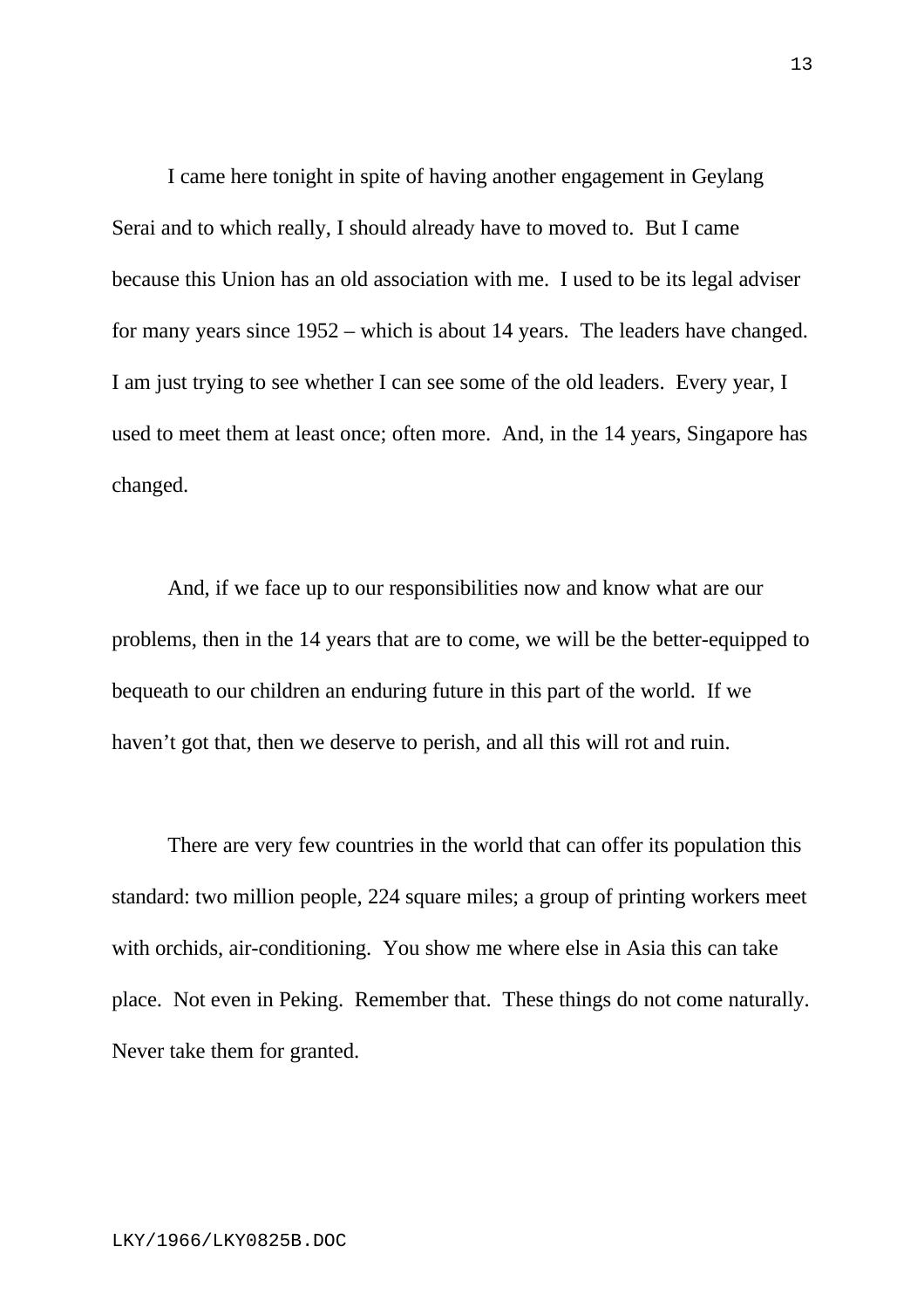I came here tonight in spite of having another engagement in Geylang Serai and to which really, I should already have to moved to. But I came because this Union has an old association with me. I used to be its legal adviser for many years since 1952 – which is about 14 years. The leaders have changed. I am just trying to see whether I can see some of the old leaders. Every year, I used to meet them at least once; often more. And, in the 14 years, Singapore has changed.

And, if we face up to our responsibilities now and know what are our problems, then in the 14 years that are to come, we will be the better-equipped to bequeath to our children an enduring future in this part of the world. If we haven't got that, then we deserve to perish, and all this will rot and ruin.

There are very few countries in the world that can offer its population this standard: two million people, 224 square miles; a group of printing workers meet with orchids, air-conditioning. You show me where else in Asia this can take place. Not even in Peking. Remember that. These things do not come naturally. Never take them for granted.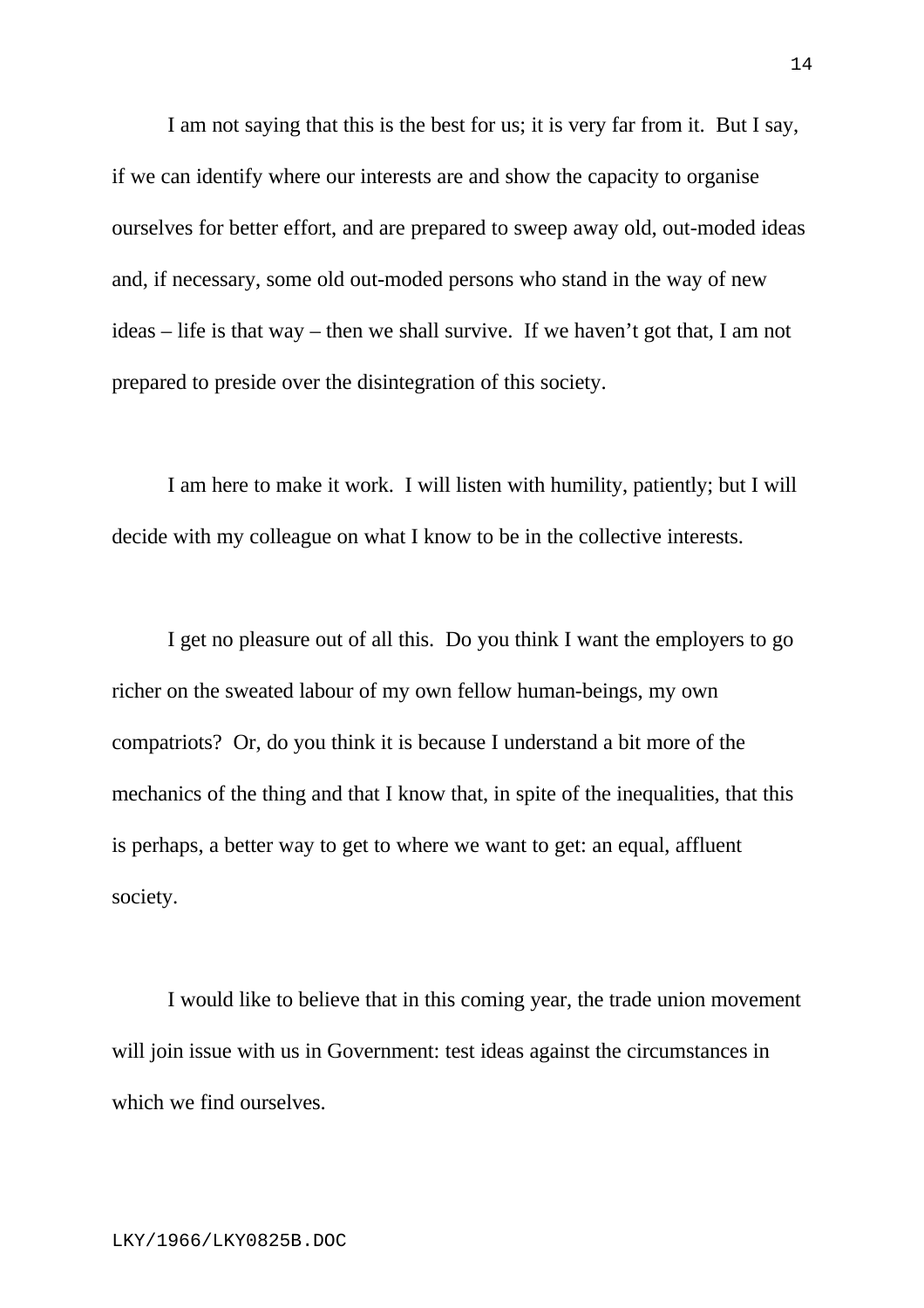I am not saying that this is the best for us; it is very far from it. But I say, if we can identify where our interests are and show the capacity to organise ourselves for better effort, and are prepared to sweep away old, out-moded ideas and, if necessary, some old out-moded persons who stand in the way of new ideas – life is that way – then we shall survive. If we haven't got that, I am not prepared to preside over the disintegration of this society.

I am here to make it work. I will listen with humility, patiently; but I will decide with my colleague on what I know to be in the collective interests.

I get no pleasure out of all this. Do you think I want the employers to go richer on the sweated labour of my own fellow human-beings, my own compatriots? Or, do you think it is because I understand a bit more of the mechanics of the thing and that I know that, in spite of the inequalities, that this is perhaps, a better way to get to where we want to get: an equal, affluent society.

I would like to believe that in this coming year, the trade union movement will join issue with us in Government: test ideas against the circumstances in which we find ourselves.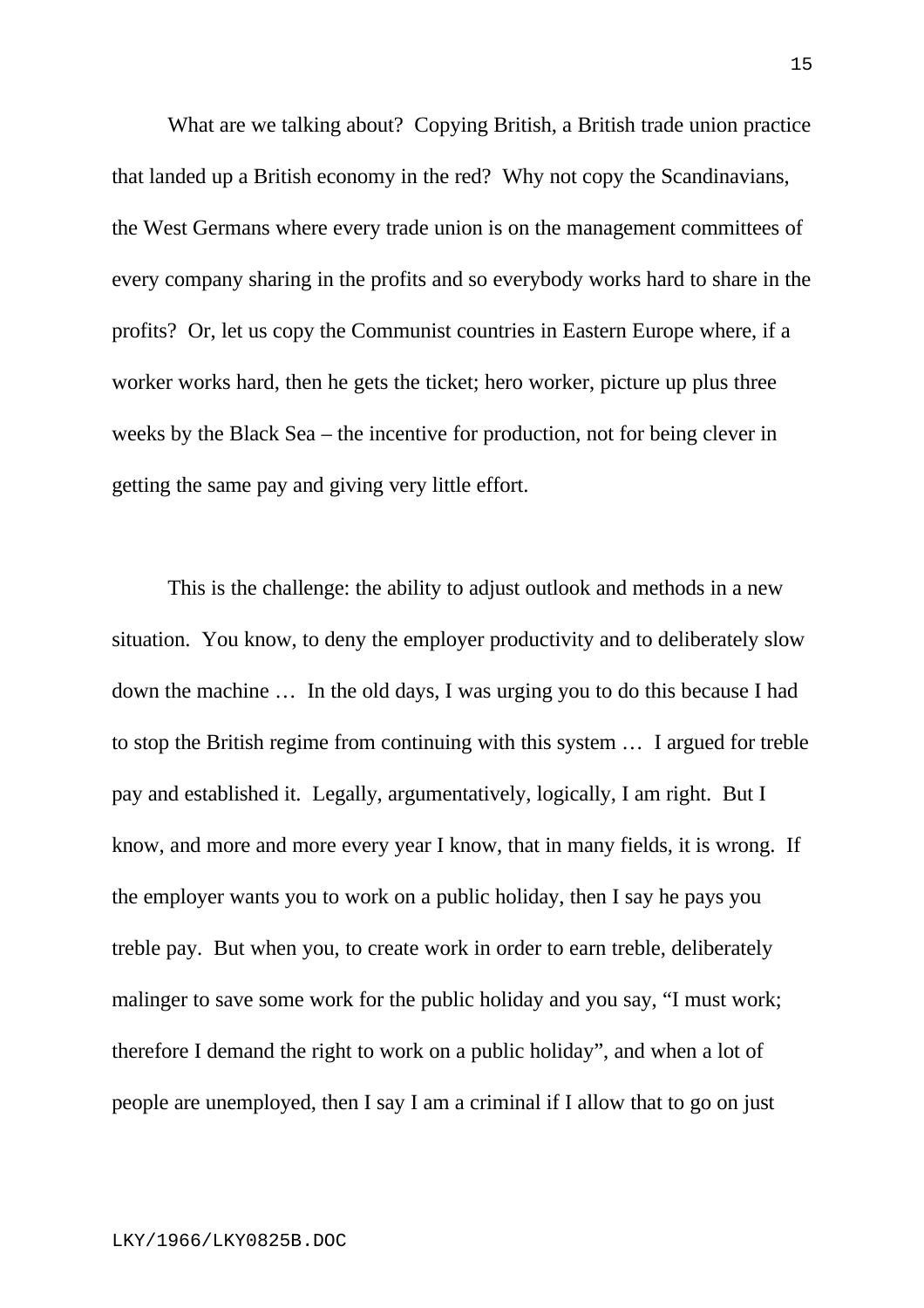What are we talking about? Copying British, a British trade union practice that landed up a British economy in the red? Why not copy the Scandinavians, the West Germans where every trade union is on the management committees of every company sharing in the profits and so everybody works hard to share in the profits? Or, let us copy the Communist countries in Eastern Europe where, if a worker works hard, then he gets the ticket; hero worker, picture up plus three weeks by the Black Sea – the incentive for production, not for being clever in getting the same pay and giving very little effort.

This is the challenge: the ability to adjust outlook and methods in a new situation. You know, to deny the employer productivity and to deliberately slow down the machine … In the old days, I was urging you to do this because I had to stop the British regime from continuing with this system … I argued for treble pay and established it. Legally, argumentatively, logically, I am right. But I know, and more and more every year I know, that in many fields, it is wrong. If the employer wants you to work on a public holiday, then I say he pays you treble pay. But when you, to create work in order to earn treble, deliberately malinger to save some work for the public holiday and you say, "I must work; therefore I demand the right to work on a public holiday", and when a lot of people are unemployed, then I say I am a criminal if I allow that to go on just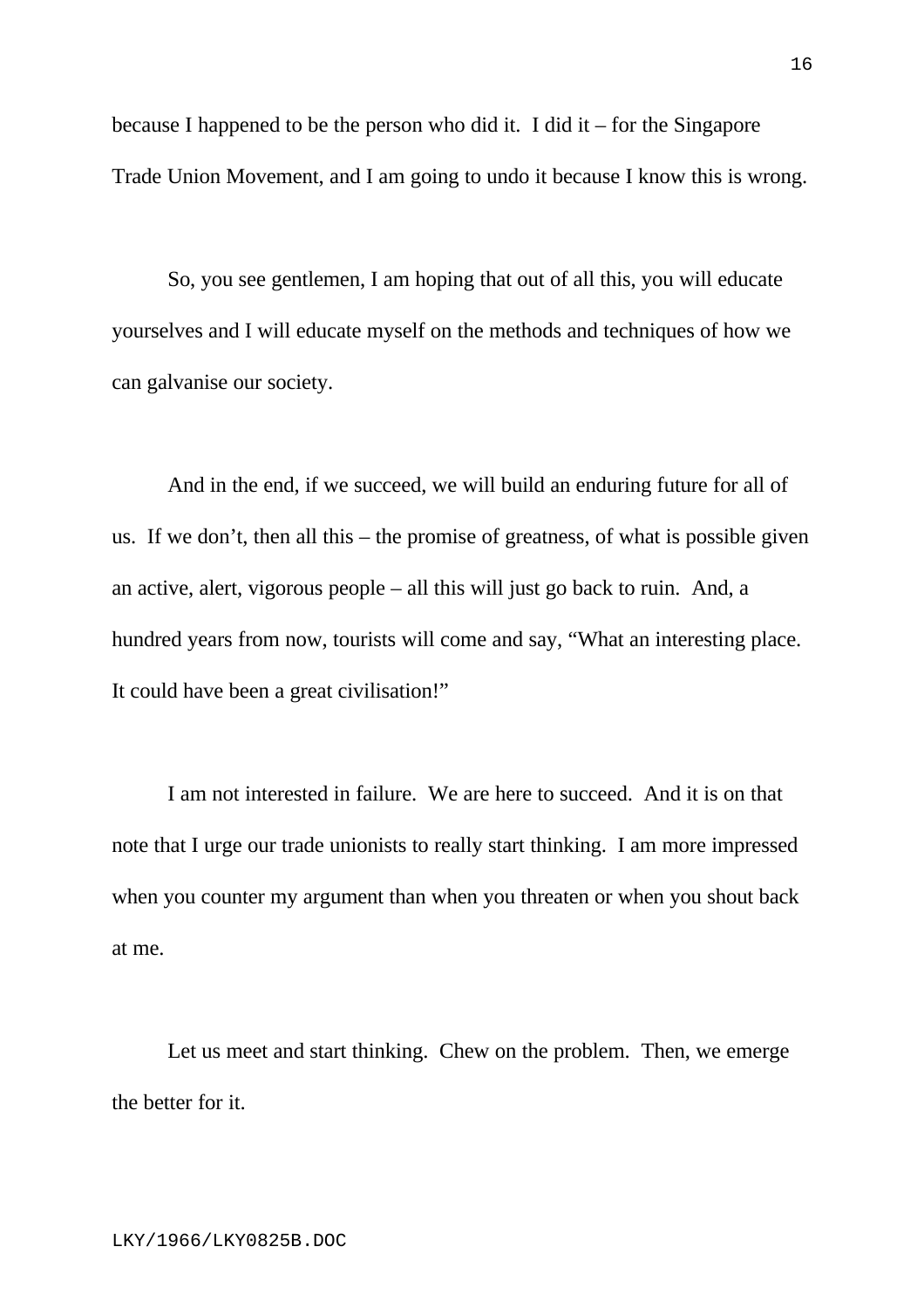because I happened to be the person who did it. I did it – for the Singapore Trade Union Movement, and I am going to undo it because I know this is wrong.

So, you see gentlemen, I am hoping that out of all this, you will educate yourselves and I will educate myself on the methods and techniques of how we can galvanise our society.

And in the end, if we succeed, we will build an enduring future for all of us. If we don't, then all this – the promise of greatness, of what is possible given an active, alert, vigorous people – all this will just go back to ruin. And, a hundred years from now, tourists will come and say, "What an interesting place. It could have been a great civilisation!"

I am not interested in failure. We are here to succeed. And it is on that note that I urge our trade unionists to really start thinking. I am more impressed when you counter my argument than when you threaten or when you shout back at me.

Let us meet and start thinking. Chew on the problem. Then, we emerge the better for it.